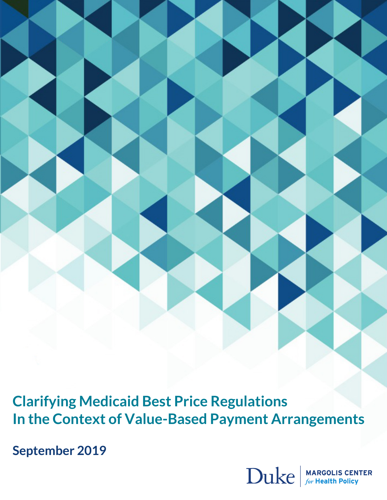**Clarifying Medicaid Best Price Regulations In the Context of Value-Based Payment Arrangements**

**September 2019**

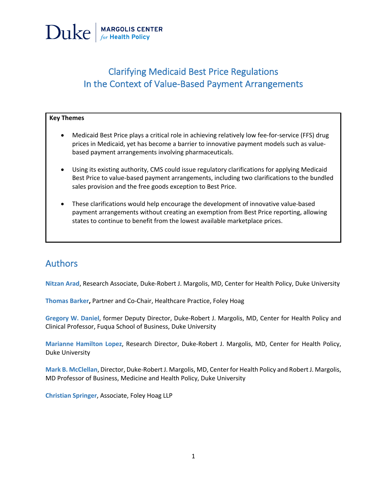

## Clarifying Medicaid Best Price Regulations In the Context of Value-Based Payment Arrangements

#### **Key Themes**

- Medicaid Best Price plays a critical role in achieving relatively low fee-for-service (FFS) drug prices in Medicaid, yet has become a barrier to innovative payment models such as valuebased payment arrangements involving pharmaceuticals.
- Using its existing authority, CMS could issue regulatory clarifications for applying Medicaid Best Price to value-based payment arrangements, including two clarifications to the bundled sales provision and the free goods exception to Best Price.
- These clarifications would help encourage the development of innovative value-based payment arrangements without creating an exemption from Best Price reporting, allowing states to continue to benefit from the lowest available marketplace prices.

### Authors

**Nitzan Arad**, Research Associate, Duke-Robert J. Margolis, MD, Center for Health Policy, Duke University

**Thomas Barker,** Partner and Co-Chair, Healthcare Practice, Foley Hoag

**Gregory W. Daniel**, former Deputy Director, Duke-Robert J. Margolis, MD, Center for Health Policy and Clinical Professor, Fuqua School of Business, Duke University

**Marianne Hamilton Lopez**, Research Director, Duke-Robert J. Margolis, MD, Center for Health Policy, Duke University

**Mark B. McClellan**, Director, Duke-Robert J. Margolis, MD, Center for Health Policy and Robert J. Margolis, MD Professor of Business, Medicine and Health Policy, Duke University

**Christian Springer**, Associate, Foley Hoag LLP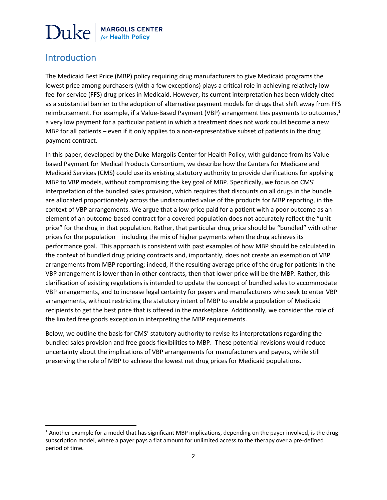## Introduction

The Medicaid Best Price (MBP) policy requiring drug manufacturers to give Medicaid programs the lowest price among purchasers (with a few exceptions) plays a critical role in achieving relatively low fee-for-service (FFS) drug prices in Medicaid. However, its current interpretation has been widely cited as a substantial barrier to the adoption of alternative payment models for drugs that shift away from FFS reimbursement. For example, if a Value-Based Payment (VBP) arrangement ties payments to outcomes,<sup>1</sup> a very low payment for a particular patient in which a treatment does not work could become a new MBP for all patients – even if it only applies to a non-representative subset of patients in the drug payment contract.

In this paper, developed by the Duke-Margolis Center for Health Policy, with guidance from its Valuebased Payment for Medical Products Consortium, we describe how the Centers for Medicare and Medicaid Services (CMS) could use its existing statutory authority to provide clarifications for applying MBP to VBP models, without compromising the key goal of MBP. Specifically, we focus on CMS' interpretation of the bundled sales provision, which requires that discounts on all drugs in the bundle are allocated proportionately across the undiscounted value of the products for MBP reporting, in the context of VBP arrangements. We argue that a low price paid for a patient with a poor outcome as an element of an outcome-based contract for a covered population does not accurately reflect the "unit price" for the drug in that population. Rather, that particular drug price should be "bundled" with other prices for the population – including the mix of higher payments when the drug achieves its performance goal. This approach is consistent with past examples of how MBP should be calculated in the context of bundled drug pricing contracts and, importantly, does not create an exemption of VBP arrangements from MBP reporting; indeed, if the resulting average price of the drug for patients in the VBP arrangement is lower than in other contracts, then that lower price will be the MBP. Rather, this clarification of existing regulations is intended to update the concept of bundled sales to accommodate VBP arrangements, and to increase legal certainty for payers and manufacturers who seek to enter VBP arrangements, without restricting the statutory intent of MBP to enable a population of Medicaid recipients to get the best price that is offered in the marketplace. Additionally, we consider the role of the limited free goods exception in interpreting the MBP requirements.

Below, we outline the basis for CMS' statutory authority to revise its interpretations regarding the bundled sales provision and free goods flexibilities to MBP. These potential revisions would reduce uncertainty about the implications of VBP arrangements for manufacturers and payers, while still preserving the role of MBP to achieve the lowest net drug prices for Medicaid populations.

 $1$  Another example for a model that has significant MBP implications, depending on the payer involved, is the drug subscription model, where a payer pays a flat amount for unlimited access to the therapy over a pre-defined period of time.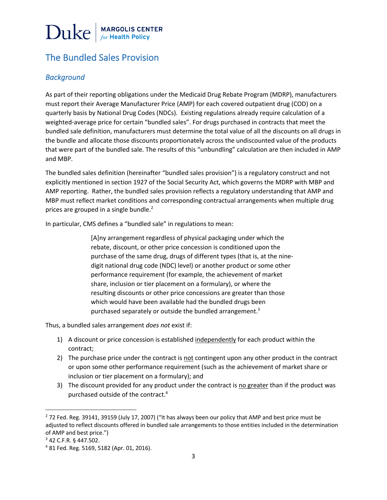## The Bundled Sales Provision

#### *Background*

As part of their reporting obligations under the Medicaid Drug Rebate Program (MDRP), manufacturers must report their Average Manufacturer Price (AMP) for each covered outpatient drug (COD) on a quarterly basis by National Drug Codes (NDCs). Existing regulations already require calculation of a weighted-average price for certain "bundled sales". For drugs purchased in contracts that meet the bundled sale definition, manufacturers must determine the total value of all the discounts on all drugs in the bundle and allocate those discounts proportionately across the undiscounted value of the products that were part of the bundled sale. The results of this "unbundling" calculation are then included in AMP and MBP.

The bundled sales definition (hereinafter "bundled sales provision") is a regulatory construct and not explicitly mentioned in section 1927 of the Social Security Act, which governs the MDRP with MBP and AMP reporting. Rather, the bundled sales provision reflects a regulatory understanding that AMP and MBP must reflect market conditions and corresponding contractual arrangements when multiple drug prices are grouped in a single bundle.<sup>2</sup>

In particular, CMS defines a "bundled sale" in regulations to mean:

[A]ny arrangement regardless of physical packaging under which the rebate, discount, or other price concession is conditioned upon the purchase of the same drug, drugs of different types (that is, at the ninedigit national drug code (NDC) level) or another product or some other performance requirement (for example, the achievement of market share, inclusion or tier placement on a formulary), or where the resulting discounts or other price concessions are greater than those which would have been available had the bundled drugs been purchased separately or outside the bundled arrangement. $3$ 

Thus, a bundled sales arrangement *does not* exist if:

- 1) A discount or price concession is established independently for each product within the contract;
- 2) The purchase price under the contract is not contingent upon any other product in the contract or upon some other performance requirement (such as the achievement of market share or inclusion or tier placement on a formulary); and
- 3) The discount provided for any product under the contract is no greater than if the product was purchased outside of the contract.4

 $2$  72 Fed. Reg. 39141, 39159 (July 17, 2007) ("It has always been our policy that AMP and best price must be adjusted to reflect discounts offered in bundled sale arrangements to those entities included in the determination of AMP and best price.")

<sup>3</sup> 42 C.F.R. § 447.502.

<sup>4</sup> 81 Fed. Reg. 5169, 5182 (Apr. 01, 2016).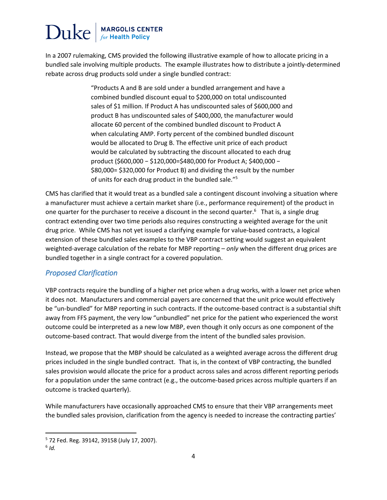In a 2007 rulemaking, CMS provided the following illustrative example of how to allocate pricing in a bundled sale involving multiple products. The example illustrates how to distribute a jointly-determined rebate across drug products sold under a single bundled contract:

> "Products A and B are sold under a bundled arrangement and have a combined bundled discount equal to \$200,000 on total undiscounted sales of \$1 million. If Product A has undiscounted sales of \$600,000 and product B has undiscounted sales of \$400,000, the manufacturer would allocate 60 percent of the combined bundled discount to Product A when calculating AMP. Forty percent of the combined bundled discount would be allocated to Drug B. The effective unit price of each product would be calculated by subtracting the discount allocated to each drug product (\$600,000 − \$120,000=\$480,000 for Product A; \$400,000 − \$80,000= \$320,000 for Product B) and dividing the result by the number of units for each drug product in the bundled sale."5

CMS has clarified that it would treat as a bundled sale a contingent discount involving a situation where a manufacturer must achieve a certain market share (i.e., performance requirement) of the product in one quarter for the purchaser to receive a discount in the second quarter.<sup>6</sup> That is, a single drug contract extending over two time periods also requires constructing a weighted average for the unit drug price. While CMS has not yet issued a clarifying example for value-based contracts, a logical extension of these bundled sales examples to the VBP contract setting would suggest an equivalent weighted-average calculation of the rebate for MBP reporting – *only* when the different drug prices are bundled together in a single contract for a covered population.

#### *Proposed Clarification*

VBP contracts require the bundling of a higher net price when a drug works, with a lower net price when it does not. Manufacturers and commercial payers are concerned that the unit price would effectively be "un-bundled" for MBP reporting in such contracts. If the outcome-based contract is a substantial shift away from FFS payment, the very low "unbundled" net price for the patient who experienced the worst outcome could be interpreted as a new low MBP, even though it only occurs as one component of the outcome-based contract. That would diverge from the intent of the bundled sales provision.

Instead, we propose that the MBP should be calculated as a weighted average across the different drug prices included in the single bundled contract. That is, in the context of VBP contracting, the bundled sales provision would allocate the price for a product across sales and across different reporting periods for a population under the same contract (e.g., the outcome-based prices across multiple quarters if an outcome is tracked quarterly).

While manufacturers have occasionally approached CMS to ensure that their VBP arrangements meet the bundled sales provision, clarification from the agency is needed to increase the contracting parties'

<sup>5</sup> 72 Fed. Reg. 39142, 39158 (July 17, 2007).

<sup>6</sup> *Id.*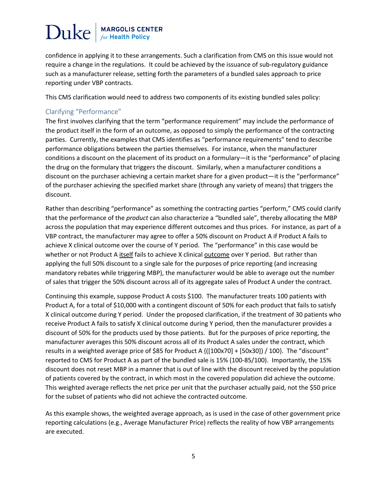confidence in applying it to these arrangements. Such a clarification from CMS on this issue would not require a change in the regulations. It could be achieved by the issuance of sub-regulatory guidance such as a manufacturer release, setting forth the parameters of a bundled sales approach to price reporting under VBP contracts.

This CMS clarification would need to address two components of its existing bundled sales policy:

#### Clarifying "Performance"

The first involves clarifying that the term "performance requirement" may include the performance of the product itself in the form of an outcome, as opposed to simply the performance of the contracting parties. Currently, the examples that CMS identifies as "performance requirements" tend to describe performance obligations between the parties themselves. For instance, when the manufacturer conditions a discount on the placement of its product on a formulary—it is the "performance" of placing the drug on the formulary that triggers the discount. Similarly, when a manufacturer conditions a discount on the purchaser achieving a certain market share for a given product—it is the "performance" of the purchaser achieving the specified market share (through any variety of means) that triggers the discount.

Rather than describing "performance" as something the contracting parties "perform," CMS could clarify that the performance of the *product* can also characterize a "bundled sale", thereby allocating the MBP across the population that may experience different outcomes and thus prices. For instance, as part of a VBP contract, the manufacturer may agree to offer a 50% discount on Product A if Product A fails to achieve X clinical outcome over the course of Y period. The "performance" in this case would be whether or not Product A itself fails to achieve X clinical outcome over Y period. But rather than applying the full 50% discount to a single sale for the purposes of price reporting (and increasing mandatory rebates while triggering MBP), the manufacturer would be able to average out the number of sales that trigger the 50% discount across all of its aggregate sales of Product A under the contract.

Continuing this example, suppose Product A costs \$100. The manufacturer treats 100 patients with Product A, for a total of \$10,000 with a contingent discount of 50% for each product that fails to satisfy X clinical outcome during Y period. Under the proposed clarification, if the treatment of 30 patients who receive Product A fails to satisfy X clinical outcome during Y period, then the manufacturer provides a discount of 50% for the products used by those patients. But for the purposes of price reporting, the manufacturer averages this 50% discount across all of its Product A sales under the contract, which results in a weighted average price of \$85 for Product A {([100x70] + [50x30]) / 100}. The "discount" reported to CMS for Product A as part of the bundled sale is 15% (100-85/100). Importantly, the 15% discount does not reset MBP in a manner that is out of line with the discount received by the population of patients covered by the contract, in which most in the covered population did achieve the outcome. This weighted average reflects the net price per unit that the purchaser actually paid, not the \$50 price for the subset of patients who did not achieve the contracted outcome.

As this example shows, the weighted average approach, as is used in the case of other government price reporting calculations (e.g., Average Manufacturer Price) reflects the reality of how VBP arrangements are executed.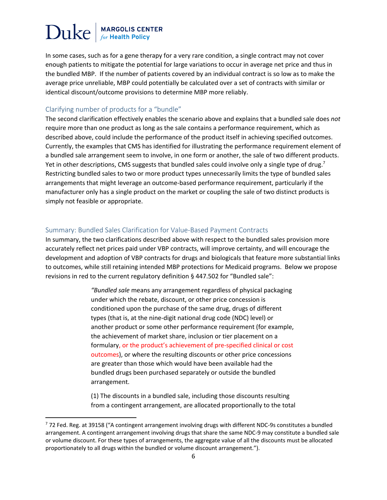In some cases, such as for a gene therapy for a very rare condition, a single contract may not cover enough patients to mitigate the potential for large variations to occur in average net price and thus in the bundled MBP. If the number of patients covered by an individual contract is so low as to make the average price unreliable, MBP could potentially be calculated over a set of contracts with similar or identical discount/outcome provisions to determine MBP more reliably.

#### Clarifying number of products for a "bundle"

The second clarification effectively enables the scenario above and explains that a bundled sale does *not*  require more than one product as long as the sale contains a performance requirement, which as described above, could include the performance of the product itself in achieving specified outcomes. Currently, the examples that CMS has identified for illustrating the performance requirement element of a bundled sale arrangement seem to involve, in one form or another, the sale of two different products. Yet in other descriptions, CMS suggests that bundled sales could involve only a single type of drug.<sup>7</sup> Restricting bundled sales to two or more product types unnecessarily limits the type of bundled sales arrangements that might leverage an outcome-based performance requirement, particularly if the manufacturer only has a single product on the market or coupling the sale of two distinct products is simply not feasible or appropriate.

#### Summary: Bundled Sales Clarification for Value-Based Payment Contracts

In summary, the two clarifications described above with respect to the bundled sales provision more accurately reflect net prices paid under VBP contracts, will improve certainty, and will encourage the development and adoption of VBP contracts for drugs and biologicals that feature more substantial links to outcomes, while still retaining intended MBP protections for Medicaid programs. Below we propose revisions in red to the current regulatory definition § 447.502 for "Bundled sale":

> *"Bundled sale* means any arrangement regardless of physical packaging under which the rebate, discount, or other price concession is conditioned upon the purchase of the same drug, drugs of different types (that is, at the nine-digit national drug code (NDC) level) or another product or some other performance requirement (for example, the achievement of market share, inclusion or tier placement on a formulary, or the product's achievement of pre-specified clinical or cost outcomes), or where the resulting discounts or other price concessions are greater than those which would have been available had the bundled drugs been purchased separately or outside the bundled arrangement.

> (1) The discounts in a bundled sale, including those discounts resulting from a contingent arrangement, are allocated proportionally to the total

<sup>7</sup> 72 Fed. Reg. at 39158 ("A contingent arrangement involving drugs with different NDC-9s constitutes a bundled arrangement. A contingent arrangement involving drugs that share the same NDC-9 may constitute a bundled sale or volume discount. For these types of arrangements, the aggregate value of all the discounts must be allocated proportionately to all drugs within the bundled or volume discount arrangement.").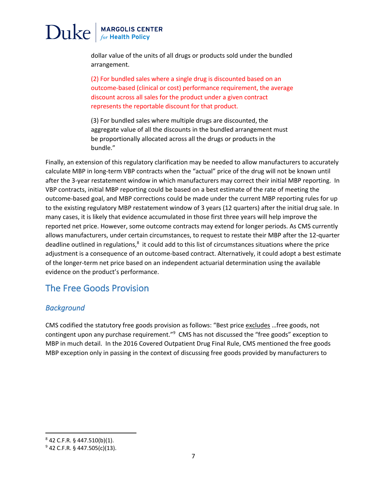## $\operatorname{Duke}|_{\scriptscriptstyle\it for\,Health\,Policy}$

dollar value of the units of all drugs or products sold under the bundled arrangement.

(2) For bundled sales where a single drug is discounted based on an outcome-based (clinical or cost) performance requirement, the average discount across all sales for the product under a given contract represents the reportable discount for that product.

(3) For bundled sales where multiple drugs are discounted, the aggregate value of all the discounts in the bundled arrangement must be proportionally allocated across all the drugs or products in the bundle."

Finally, an extension of this regulatory clarification may be needed to allow manufacturers to accurately calculate MBP in long-term VBP contracts when the "actual" price of the drug will not be known until after the 3-year restatement window in which manufacturers may correct their initial MBP reporting. In VBP contracts, initial MBP reporting could be based on a best estimate of the rate of meeting the outcome-based goal, and MBP corrections could be made under the current MBP reporting rules for up to the existing regulatory MBP restatement window of 3 years (12 quarters) after the initial drug sale. In many cases, it is likely that evidence accumulated in those first three years will help improve the reported net price. However, some outcome contracts may extend for longer periods. As CMS currently allows manufacturers, under certain circumstances, to request to restate their MBP after the 12-quarter deadline outlined in regulations,<sup>8</sup> it could add to this list of circumstances situations where the price adjustment is a consequence of an outcome-based contract. Alternatively, it could adopt a best estimate of the longer-term net price based on an independent actuarial determination using the available evidence on the product's performance.

### The Free Goods Provision

#### *Background*

CMS codified the statutory free goods provision as follows: "Best price excludes ... free goods, not contingent upon any purchase requirement."<sup>9</sup> CMS has not discussed the "free goods" exception to MBP in much detail. In the 2016 Covered Outpatient Drug Final Rule, CMS mentioned the free goods MBP exception only in passing in the context of discussing free goods provided by manufacturers to

 $842$  C.F.R. § 447.510(b)(1).

<sup>9</sup> 42 C.F.R. § 447.505(c)(13).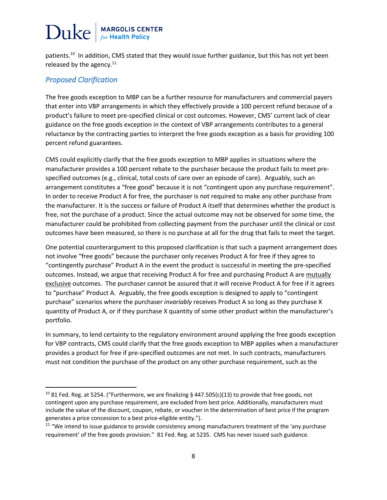patients.<sup>10</sup> In addition, CMS stated that they would issue further guidance, but this has not yet been released by the agency. $11$ 

#### *Proposed Clarification*

The free goods exception to MBP can be a further resource for manufacturers and commercial payers that enter into VBP arrangements in which they effectively provide a 100 percent refund because of a product's failure to meet pre-specified clinical or cost outcomes. However, CMS' current lack of clear guidance on the free goods exception in the context of VBP arrangements contributes to a general reluctance by the contracting parties to interpret the free goods exception as a basis for providing 100 percent refund guarantees.

CMS could explicitly clarify that the free goods exception to MBP applies in situations where the manufacturer provides a 100 percent rebate to the purchaser because the product fails to meet prespecified outcomes (e.g., clinical, total costs of care over an episode of care). Arguably, such an arrangement constitutes a "free good" because it is not "contingent upon any purchase requirement". In order to receive Product A for free, the purchaser is not required to make any other purchase from the manufacturer. It is the success or failure of Product A itself that determines whether the product is free, not the purchase of a product. Since the actual outcome may not be observed for some time, the manufacturer could be prohibited from collecting payment from the purchaser until the clinical or cost outcomes have been measured, so there is no purchase at all for the drug that fails to meet the target.

One potential counterargument to this proposed clarification is that such a payment arrangement does not involve "free goods" because the purchaser only receives Product A for free if they agree to "contingently purchase" Product A in the event the product is successful in meeting the pre-specified outcomes. Instead, we argue that receiving Product A for free and purchasing Product A are mutually exclusive outcomes. The purchaser cannot be assured that it will receive Product A for free if it agrees to "purchase" Product A. Arguably, the free goods exception is designed to apply to "contingent purchase" scenarios where the purchaser *invariably* receives Product A so long as they purchase X quantity of Product A, or if they purchase X quantity of some other product within the manufacturer's portfolio.

In summary, to lend certainty to the regulatory environment around applying the free goods exception for VBP contracts, CMS could clarify that the free goods exception to MBP applies when a manufacturer provides a product for free if pre-specified outcomes are not met. In such contracts, manufacturers must not condition the purchase of the product on any other purchase requirement, such as the

<sup>&</sup>lt;sup>10</sup> 81 Fed. Reg. at 5254. ("Furthermore, we are finalizing § 447.505(c)(13) to provide that free goods, not contingent upon any purchase requirement, are excluded from best price. Additionally, manufacturers must include the value of the discount, coupon, rebate, or voucher in the determination of best price if the program

generates a price concession to a best price-eligible entity.").<br><sup>11</sup> "We intend to issue guidance to provide consistency among manufacturers treatment of the 'any purchase requirement' of the free goods provision." 81 Fed. Reg. at 5235. CMS has never issued such guidance.